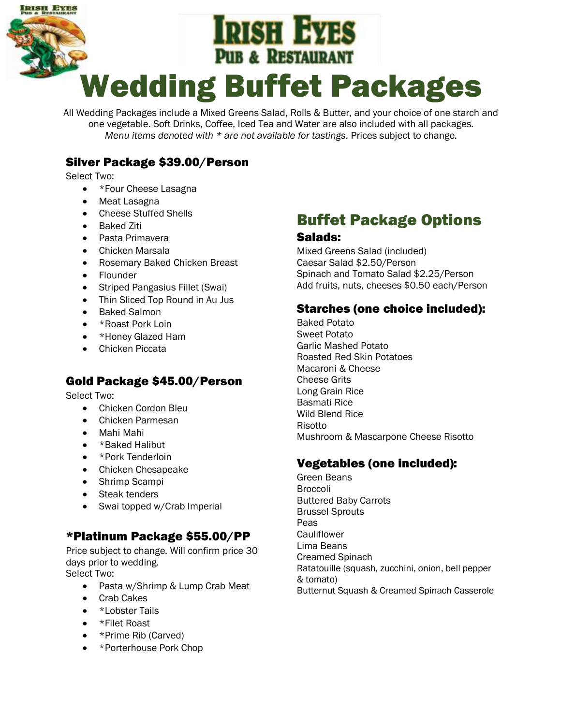

All Wedding Packages include a Mixed Greens Salad, Rolls & Butter, and your choice of one starch and one vegetable. Soft Drinks, Coffee, Iced Tea and Water are also included with all packages. *Menu items denoted with \* are not available for tastings.* Prices subject to change*.*

## Silver Package \$39.00/Person

Select Two:

- \*Four Cheese Lasagna
- Meat Lasagna
- Cheese Stuffed Shells
- **•** Baked Ziti
- Pasta Primavera
- Chicken Marsala
- Rosemary Baked Chicken Breast
- Flounder
- Striped Pangasius Fillet (Swai)
- Thin Sliced Top Round in Au Jus
- Baked Salmon
- \*Roast Pork Loin
- \*Honey Glazed Ham
- Chicken Piccata

#### Gold Package \$45.00/Person

Select Two:

- Chicken Cordon Bleu
- Chicken Parmesan
- Mahi Mahi
- \*Baked Halibut
- \*Pork Tenderloin
- Chicken Chesapeake
- Shrimp Scampi
- Steak tenders
- Swai topped w/Crab Imperial

#### \*Platinum Package \$55.00/PP

Price subject to change. Will confirm price 30 days prior to wedding. Select Two:

- Pasta w/Shrimp & Lump Crab Meat
- Crab Cakes
- \*Lobster Tails
- \*Filet Roast
- \*Prime Rib (Carved)
- \*Porterhouse Pork Chop

# Buffet Package Options

#### Salads:

Mixed Greens Salad (included) Caesar Salad \$2.50/Person Spinach and Tomato Salad \$2.25/Person Add fruits, nuts, cheeses \$0.50 each/Person

#### Starches (one choice included):

Baked Potato Sweet Potato Garlic Mashed Potato Roasted Red Skin Potatoes Macaroni & Cheese Cheese Grits Long Grain Rice Basmati Rice Wild Blend Rice Risotto Mushroom & Mascarpone Cheese Risotto

### Vegetables (one included):

Green Beans Broccoli Buttered Baby Carrots Brussel Sprouts Peas **Cauliflower** Lima Beans Creamed Spinach Ratatouille (squash, zucchini, onion, bell pepper & tomato) Butternut Squash & Creamed Spinach Casserole